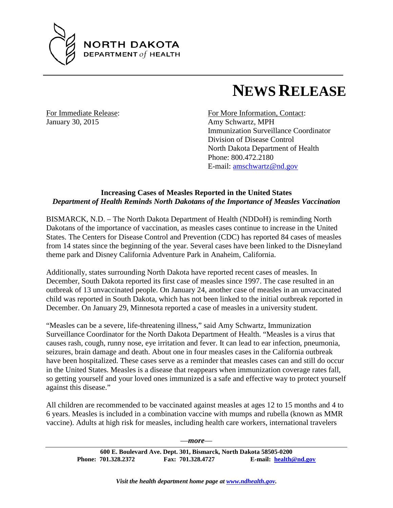

## **NEWS RELEASE**

January 30, 2015 Amy Schwartz, MPH

For Immediate Release: For More Information, Contact: Immunization Surveillance Coordinator Division of Disease Control North Dakota Department of Health Phone: 800.472.2180 E-mail: [amschwartz@nd.gov](mailto:amschwartz@nd.gov)

## **Increasing Cases of Measles Reported in the United States** *Department of Health Reminds North Dakotans of the Importance of Measles Vaccination*

BISMARCK, N.D. – The North Dakota Department of Health (NDDoH) is reminding North Dakotans of the importance of vaccination, as measles cases continue to increase in the United States. The Centers for Disease Control and Prevention (CDC) has reported 84 cases of measles from 14 states since the beginning of the year. Several cases have been linked to the Disneyland theme park and Disney California Adventure Park in Anaheim, California.

Additionally, states surrounding North Dakota have reported recent cases of measles. In December, South Dakota reported its first case of measles since 1997. The case resulted in an outbreak of 13 unvaccinated people. On January 24, another case of measles in an unvaccinated child was reported in South Dakota, which has not been linked to the initial outbreak reported in December. On January 29, Minnesota reported a case of measles in a university student.

"Measles can be a severe, life-threatening illness," said Amy Schwartz, Immunization Surveillance Coordinator for the North Dakota Department of Health. "Measles is a virus that causes rash, cough, runny nose, eye irritation and fever. It can lead to ear infection, pneumonia, seizures, brain damage and death. About one in four measles cases in the California outbreak have been hospitalized. These cases serve as a reminder that measles cases can and still do occur in the United States. Measles is a disease that reappears when immunization coverage rates fall, so getting yourself and your loved ones immunized is a safe and effective way to protect yourself against this disease."

All children are recommended to be vaccinated against measles at ages 12 to 15 months and 4 to 6 years. Measles is included in a combination vaccine with mumps and rubella (known as MMR vaccine). Adults at high risk for measles, including health care workers, international travelers

—*more*—